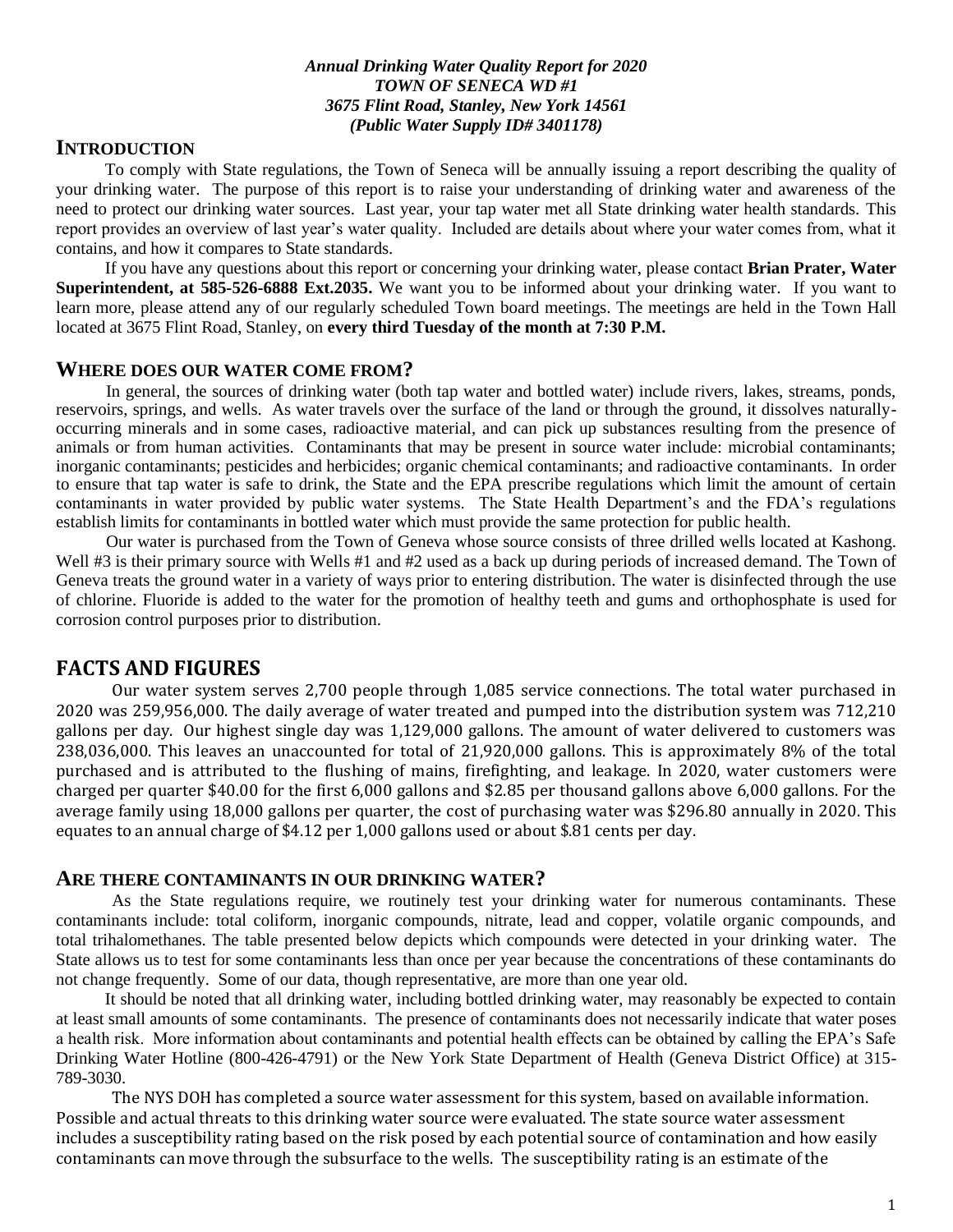#### *Annual Drinking Water Quality Report for 2020 TOWN OF SENECA WD #1 3675 Flint Road, Stanley, New York 14561 (Public Water Supply ID# 3401178)*

## **INTRODUCTION**

To comply with State regulations, the Town of Seneca will be annually issuing a report describing the quality of your drinking water. The purpose of this report is to raise your understanding of drinking water and awareness of the need to protect our drinking water sources. Last year, your tap water met all State drinking water health standards. This report provides an overview of last year's water quality. Included are details about where your water comes from, what it contains, and how it compares to State standards.

If you have any questions about this report or concerning your drinking water, please contact **Brian Prater, Water Superintendent, at 585-526-6888 Ext.2035.** We want you to be informed about your drinking water. If you want to learn more, please attend any of our regularly scheduled Town board meetings. The meetings are held in the Town Hall located at 3675 Flint Road, Stanley, on **every third Tuesday of the month at 7:30 P.M.**

#### **WHERE DOES OUR WATER COME FROM?**

 In general, the sources of drinking water (both tap water and bottled water) include rivers, lakes, streams, ponds, reservoirs, springs, and wells. As water travels over the surface of the land or through the ground, it dissolves naturallyoccurring minerals and in some cases, radioactive material, and can pick up substances resulting from the presence of animals or from human activities. Contaminants that may be present in source water include: microbial contaminants; inorganic contaminants; pesticides and herbicides; organic chemical contaminants; and radioactive contaminants. In order to ensure that tap water is safe to drink, the State and the EPA prescribe regulations which limit the amount of certain contaminants in water provided by public water systems. The State Health Department's and the FDA's regulations establish limits for contaminants in bottled water which must provide the same protection for public health.

 Our water is purchased from the Town of Geneva whose source consists of three drilled wells located at Kashong. Well #3 is their primary source with Wells #1 and #2 used as a back up during periods of increased demand. The Town of Geneva treats the ground water in a variety of ways prior to entering distribution. The water is disinfected through the use of chlorine. Fluoride is added to the water for the promotion of healthy teeth and gums and orthophosphate is used for corrosion control purposes prior to distribution.

## **FACTS AND FIGURES**

Our water system serves 2,700 people through 1,085 service connections. The total water purchased in 2020 was 259,956,000. The daily average of water treated and pumped into the distribution system was 712,210 gallons per day. Our highest single day was 1,129,000 gallons. The amount of water delivered to customers was 238,036,000. This leaves an unaccounted for total of 21,920,000 gallons. This is approximately 8% of the total purchased and is attributed to the flushing of mains, firefighting, and leakage. In 2020, water customers were charged per quarter \$40.00 for the first 6,000 gallons and \$2.85 per thousand gallons above 6,000 gallons. For the average family using 18,000 gallons per quarter, the cost of purchasing water was \$296.80 annually in 2020. This equates to an annual charge of \$4.12 per 1,000 gallons used or about \$.81 cents per day.

### **ARE THERE CONTAMINANTS IN OUR DRINKING WATER?**

As the State regulations require, we routinely test your drinking water for numerous contaminants. These contaminants include: total coliform, inorganic compounds, nitrate, lead and copper, volatile organic compounds, and total trihalomethanes. The table presented below depicts which compounds were detected in your drinking water. The State allows us to test for some contaminants less than once per year because the concentrations of these contaminants do not change frequently. Some of our data, though representative, are more than one year old.

It should be noted that all drinking water, including bottled drinking water, may reasonably be expected to contain at least small amounts of some contaminants. The presence of contaminants does not necessarily indicate that water poses a health risk. More information about contaminants and potential health effects can be obtained by calling the EPA's Safe Drinking Water Hotline (800-426-4791) or the New York State Department of Health (Geneva District Office) at 315- 789-3030.

The NYS DOH has completed a source water assessment for this system, based on available information. Possible and actual threats to this drinking water source were evaluated. The state source water assessment includes a susceptibility rating based on the risk posed by each potential source of contamination and how easily contaminants can move through the subsurface to the wells. The susceptibility rating is an estimate of the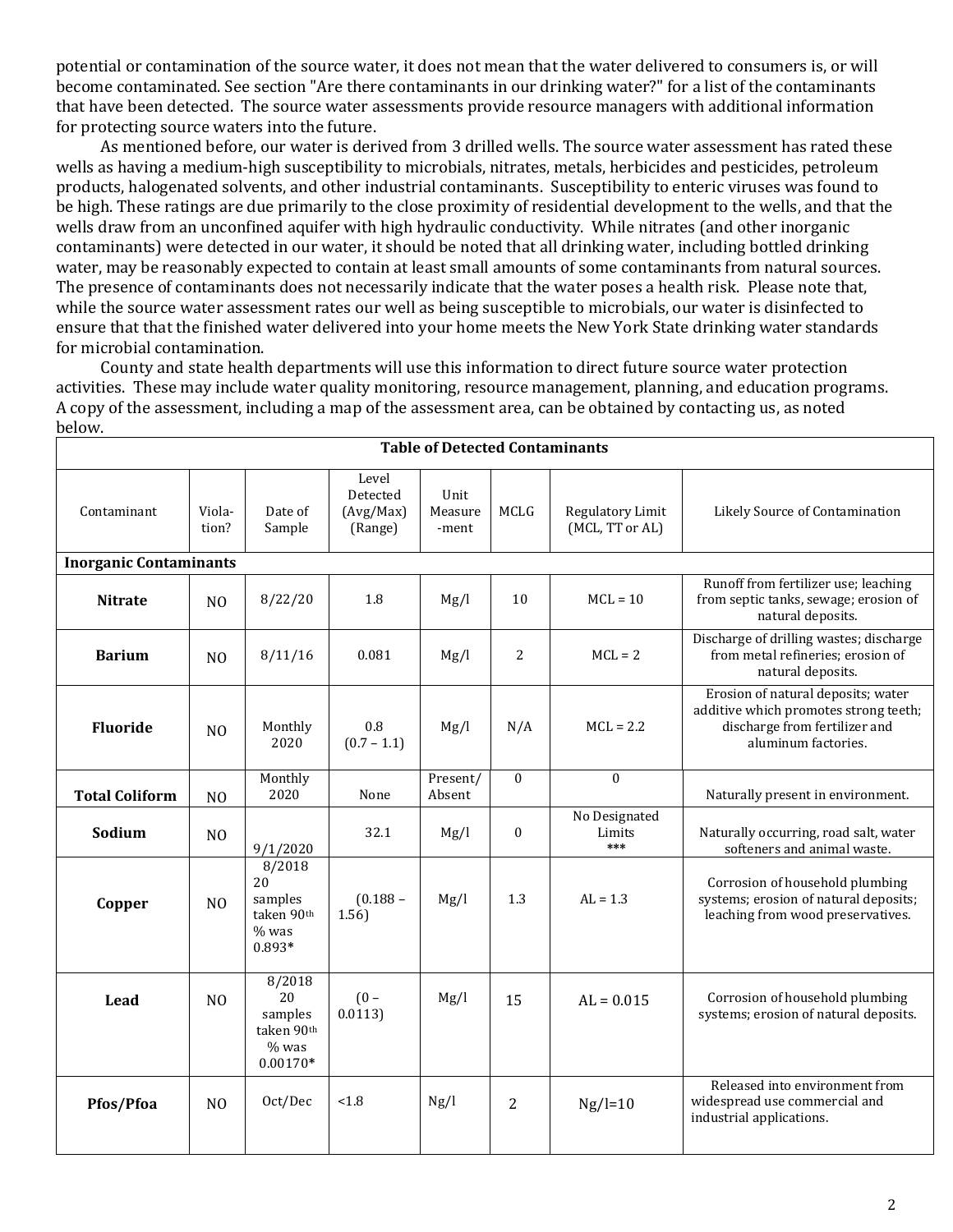potential or contamination of the source water, it does not mean that the water delivered to consumers is, or will become contaminated. See section "Are there contaminants in our drinking water?" for a list of the contaminants that have been detected. The source water assessments provide resource managers with additional information for protecting source waters into the future.

 As mentioned before, our water is derived from 3 drilled wells. The source water assessment has rated these wells as having a medium-high susceptibility to microbials, nitrates, metals, herbicides and pesticides, petroleum products, halogenated solvents, and other industrial contaminants. Susceptibility to enteric viruses was found to be high. These ratings are due primarily to the close proximity of residential development to the wells, and that the wells draw from an unconfined aquifer with high hydraulic conductivity. While nitrates (and other inorganic contaminants) were detected in our water, it should be noted that all drinking water, including bottled drinking water, may be reasonably expected to contain at least small amounts of some contaminants from natural sources. The presence of contaminants does not necessarily indicate that the water poses a health risk. Please note that, while the source water assessment rates our well as being susceptible to microbials, our water is disinfected to ensure that that the finished water delivered into your home meets the New York State drinking water standards for microbial contamination.

 County and state health departments will use this information to direct future source water protection activities. These may include water quality monitoring, resource management, planning, and education programs. A copy of the assessment, including a map of the assessment area, can be obtained by contacting us, as noted below.

| Contaminant                   | Viola-<br>tion? | Date of<br>Sample                                                      | Level<br>Detected<br>(Avg/Max)<br>(Range) | Unit<br>Measure<br>-ment | MCLG             | Regulatory Limit<br>(MCL, TT or AL) | Likely Source of Contamination                                                                                                      |  |  |  |  |  |
|-------------------------------|-----------------|------------------------------------------------------------------------|-------------------------------------------|--------------------------|------------------|-------------------------------------|-------------------------------------------------------------------------------------------------------------------------------------|--|--|--|--|--|
| <b>Inorganic Contaminants</b> |                 |                                                                        |                                           |                          |                  |                                     |                                                                                                                                     |  |  |  |  |  |
| <b>Nitrate</b>                | N <sub>O</sub>  | 8/22/20                                                                | 1.8                                       | Mg/l                     | 10               | $MCL = 10$                          | Runoff from fertilizer use; leaching<br>from septic tanks, sewage; erosion of<br>natural deposits.                                  |  |  |  |  |  |
| <b>Barium</b>                 | N <sub>O</sub>  | 8/11/16                                                                | 0.081                                     | Mg/l                     | 2                | $MCL = 2$                           | Discharge of drilling wastes; discharge<br>from metal refineries; erosion of<br>natural deposits.                                   |  |  |  |  |  |
| <b>Fluoride</b>               | N <sub>O</sub>  | Monthly<br>2020                                                        | 0.8<br>$(0.7 - 1.1)$                      | Mg/l                     | N/A              | $MCL = 2.2$                         | Erosion of natural deposits; water<br>additive which promotes strong teeth;<br>discharge from fertilizer and<br>aluminum factories. |  |  |  |  |  |
| <b>Total Coliform</b>         | N <sub>O</sub>  | Monthly<br>2020                                                        | None                                      | Present/<br>Absent       | $\mathbf{0}$     | $\mathbf{0}$                        | Naturally present in environment.                                                                                                   |  |  |  |  |  |
| Sodium                        | N <sub>O</sub>  | 9/1/2020                                                               | 32.1                                      | Mg/l                     | $\boldsymbol{0}$ | No Designated<br>Limits<br>***      | Naturally occurring, road salt, water<br>softeners and animal waste.                                                                |  |  |  |  |  |
| Copper                        | N <sub>O</sub>  | 8/2018<br>20<br>samples<br>taken 90 <sup>th</sup><br>$%$ was<br>0.893* | $(0.188 -$<br>1.56)                       | Mg/l                     | 1.3              | $AL = 1.3$                          | Corrosion of household plumbing<br>systems; erosion of natural deposits;<br>leaching from wood preservatives.                       |  |  |  |  |  |
| Lead                          | N <sub>0</sub>  | 8/2018<br>20<br>samples<br>taken 90th<br>$%$ was<br>$0.00170*$         | $(0 -$<br>0.0113                          | Mg/l                     | 15               | $AL = 0.015$                        | Corrosion of household plumbing<br>systems; erosion of natural deposits.                                                            |  |  |  |  |  |
| Pfos/Pfoa                     | N <sub>0</sub>  | Oct/Dec                                                                | < 1.8                                     | Ng/l                     | 2                | $Ng/l=10$                           | Released into environment from<br>widespread use commercial and<br>industrial applications.                                         |  |  |  |  |  |

#### **Table of Detected Contaminants**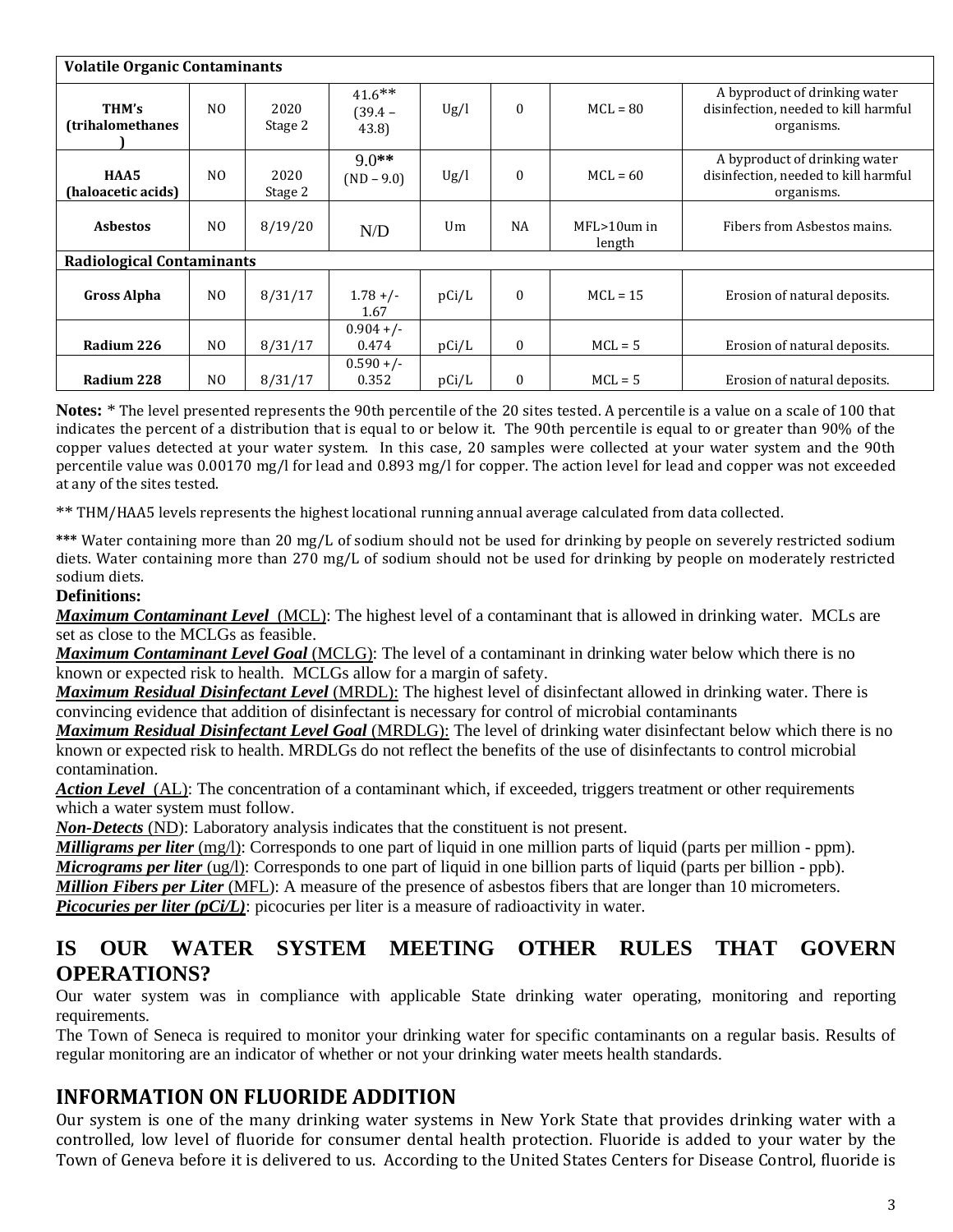| <b>Volatile Organic Contaminants</b> |                |                 |                                 |       |              |                            |                                                                                     |  |  |  |  |
|--------------------------------------|----------------|-----------------|---------------------------------|-------|--------------|----------------------------|-------------------------------------------------------------------------------------|--|--|--|--|
| THM's<br>(trihalomethanes            | N <sub>O</sub> | 2020<br>Stage 2 | $41.6***$<br>$(39.4 -$<br>43.8) | Ug/l  | $\mathbf{0}$ | $MCL = 80$                 | A byproduct of drinking water<br>disinfection, needed to kill harmful<br>organisms. |  |  |  |  |
| HAA5<br>(haloacetic acids)           | N <sub>0</sub> | 2020<br>Stage 2 | $9.0**$<br>$(ND - 9.0)$         | Ug/l  | $\mathbf{0}$ | $MCL = 60$                 | A byproduct of drinking water<br>disinfection, needed to kill harmful<br>organisms. |  |  |  |  |
| <b>Asbestos</b>                      | N <sub>0</sub> | 8/19/20         | N/D                             | Um    | <b>NA</b>    | $MFL > 10$ um in<br>length | Fibers from Asbestos mains.                                                         |  |  |  |  |
| <b>Radiological Contaminants</b>     |                |                 |                                 |       |              |                            |                                                                                     |  |  |  |  |
| <b>Gross Alpha</b>                   | N <sub>0</sub> | 8/31/17         | $1.78 + / -$<br>1.67            | pCi/L | $\Omega$     | $MCL = 15$                 | Erosion of natural deposits.                                                        |  |  |  |  |
| Radium 226                           | N <sub>O</sub> | 8/31/17         | $0.904 +/-$<br>0.474            | pCi/L | $\mathbf{0}$ | $MCL = 5$                  | Erosion of natural deposits.                                                        |  |  |  |  |
| Radium 228                           | N <sub>O</sub> | 8/31/17         | $0.590 +/-$<br>0.352            | pCi/L | $\mathbf{0}$ | $MCL = 5$                  | Erosion of natural deposits.                                                        |  |  |  |  |

**Notes:** \* The level presented represents the 90th percentile of the 20 sites tested. A percentile is a value on a scale of 100 that indicates the percent of a distribution that is equal to or below it. The 90th percentile is equal to or greater than 90% of the copper values detected at your water system. In this case, 20 samples were collected at your water system and the 90th percentile value was 0.00170 mg/l for lead and 0.893 mg/l for copper. The action level for lead and copper was not exceeded at any of the sites tested.

\*\* THM/HAA5 levels represents the highest locational running annual average calculated from data collected.

**\*\*\*** Water containing more than 20 mg/L of sodium should not be used for drinking by people on severely restricted sodium diets. Water containing more than 270 mg/L of sodium should not be used for drinking by people on moderately restricted sodium diets.

#### **Definitions:**

*Maximum Contaminant Level*(MCL): The highest level of a contaminant that is allowed in drinking water. MCLs are set as close to the MCLGs as feasible.

*Maximum Contaminant Level Goal* (MCLG): The level of a contaminant in drinking water below which there is no known or expected risk to health. MCLGs allow for a margin of safety.

*Maximum Residual Disinfectant Level* (MRDL): The highest level of disinfectant allowed in drinking water. There is convincing evidence that addition of disinfectant is necessary for control of microbial contaminants

*Maximum Residual Disinfectant Level Goal* (MRDLG): The level of drinking water disinfectant below which there is no known or expected risk to health. MRDLGs do not reflect the benefits of the use of disinfectants to control microbial contamination.

*Action Level*(AL): The concentration of a contaminant which, if exceeded, triggers treatment or other requirements which a water system must follow.

*Non-Detects* (ND): Laboratory analysis indicates that the constituent is not present.

*Milligrams per liter* (mg/l): Corresponds to one part of liquid in one million parts of liquid (parts per million - ppm). *Micrograms per liter* (ug/l): Corresponds to one part of liquid in one billion parts of liquid (parts per billion - ppb). *Million Fibers per Liter* (MFL): A measure of the presence of asbestos fibers that are longer than 10 micrometers.

*Picocuries per liter (pCi/L)*: picocuries per liter is a measure of radioactivity in water.

# **IS OUR WATER SYSTEM MEETING OTHER RULES THAT GOVERN OPERATIONS?**

Our water system was in compliance with applicable State drinking water operating, monitoring and reporting requirements.

The Town of Seneca is required to monitor your drinking water for specific contaminants on a regular basis. Results of regular monitoring are an indicator of whether or not your drinking water meets health standards.

# **INFORMATION ON FLUORIDE ADDITION**

Our system is one of the many drinking water systems in New York State that provides drinking water with a controlled, low level of fluoride for consumer dental health protection. Fluoride is added to your water by the Town of Geneva before it is delivered to us. According to the United States Centers for Disease Control, fluoride is